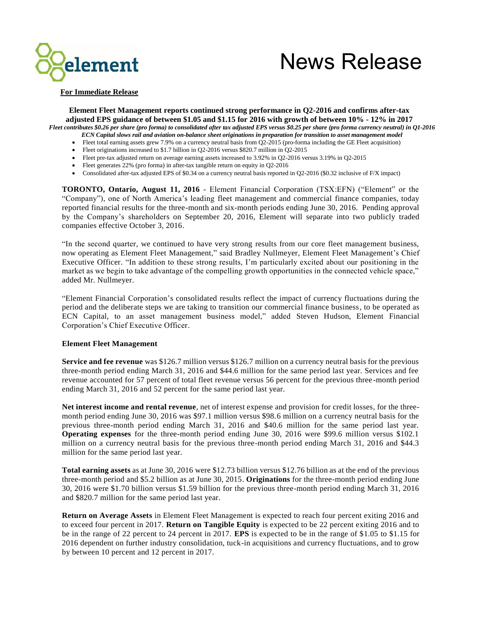

# News Release

**For Immediate Release**

**Element Fleet Management reports continued strong performance in Q2-2016 and confirms after-tax adjusted EPS guidance of between \$1.05 and \$1.15 for 2016 with growth of between 10% - 12% in 2017** *Fleet contributes \$0.26 per share (pro forma) to consolidated after tax adjusted EPS versus \$0.25 per share (pro forma currency neutral) in Q1-2016*

- *ECN Capital slows rail and aviation on-balance sheet originations in preparation for transition to asset management model*
- Fleet total earning assets grew 7.9% on a currency neutral basis from Q2-2015 (pro-forma including the GE Fleet acquisition)
- Fleet originations increased to \$1.7 billion in Q2-2016 versus \$820.7 million in Q2-2015
- Fleet pre-tax adjusted return on average earning assets increased to 3.92% in Q2-2016 versus 3.19% in Q2-2015
- Fleet generates 22% (pro forma) in after-tax tangible return on equity in Q2-2016
- Consolidated after-tax adjusted EPS of \$0.34 on a currency neutral basis reported in Q2-2016 (\$0.32 inclusive of F/X impact)

**TORONTO, Ontario, August 11, 2016** - Element Financial Corporation (TSX:EFN) ("Element" or the "Company"), one of North America's leading fleet management and commercial finance companies, today reported financial results for the three-month and six-month periods ending June 30, 2016. Pending approval by the Company's shareholders on September 20, 2016, Element will separate into two publicly traded companies effective October 3, 2016.

"In the second quarter, we continued to have very strong results from our core fleet management business, now operating as Element Fleet Management," said Bradley Nullmeyer, Element Fleet Management's Chief Executive Officer. "In addition to these strong results, I'm particularly excited about our positioning in the market as we begin to take advantage of the compelling growth opportunities in the connected vehicle space," added Mr. Nullmeyer.

"Element Financial Corporation's consolidated results reflect the impact of currency fluctuations during the period and the deliberate steps we are taking to transition our commercial finance business, to be operated as ECN Capital, to an asset management business model," added Steven Hudson, Element Financial Corporation's Chief Executive Officer.

#### **Element Fleet Management**

**Service and fee revenue** was \$126.7 million versus \$126.7 million on a currency neutral basis for the previous three-month period ending March 31, 2016 and \$44.6 million for the same period last year. Services and fee revenue accounted for 57 percent of total fleet revenue versus 56 percent for the previous three -month period ending March 31, 2016 and 52 percent for the same period last year.

**Net interest income and rental revenue**, net of interest expense and provision for credit losses, for the threemonth period ending June 30, 2016 was \$97.1 million versus \$98.6 million on a currency neutral basis for the previous three-month period ending March 31, 2016 and \$40.6 million for the same period last year. **Operating expenses** for the three-month period ending June 30, 2016 were \$99.6 million versus \$102.1 million on a currency neutral basis for the previous three-month period ending March 31, 2016 and \$44.3 million for the same period last year.

**Total earning assets** as at June 30, 2016 were \$12.73 billion versus \$12.76 billion as at the end of the previous three-month period and \$5.2 billion as at June 30, 2015. **Originations** for the three-month period ending June 30, 2016 were \$1.70 billion versus \$1.59 billion for the previous three-month period ending March 31, 2016 and \$820.7 million for the same period last year.

**Return on Average Assets** in Element Fleet Management is expected to reach four percent exiting 2016 and to exceed four percent in 2017. **Return on Tangible Equity** is expected to be 22 percent exiting 2016 and to be in the range of 22 percent to 24 percent in 2017. **EPS** is expected to be in the range of \$1.05 to \$1.15 for 2016 dependent on further industry consolidation, tuck-in acquisitions and currency fluctuations, and to grow by between 10 percent and 12 percent in 2017.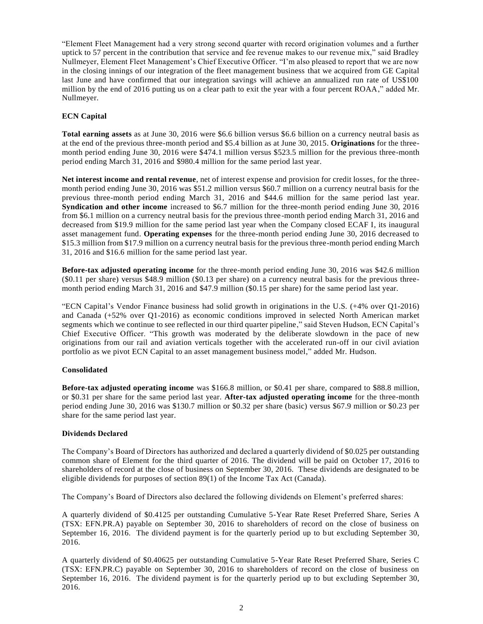"Element Fleet Management had a very strong second quarter with record origination volumes and a further uptick to 57 percent in the contribution that service and fee revenue makes to our revenue mix," said Bradley Nullmeyer, Element Fleet Management's Chief Executive Officer. "I'm also pleased to report that we are now in the closing innings of our integration of the fleet management business that we acquired from GE Capital last June and have confirmed that our integration savings will achieve an annualized run rate of US\$100 million by the end of 2016 putting us on a clear path to exit the year with a four percent ROAA," added Mr. Nullmeyer.

## **ECN Capital**

**Total earning assets** as at June 30, 2016 were \$6.6 billion versus \$6.6 billion on a currency neutral basis as at the end of the previous three-month period and \$5.4 billion as at June 30, 2015. **Originations** for the threemonth period ending June 30, 2016 were \$474.1 million versus \$523.5 million for the previous three-month period ending March 31, 2016 and \$980.4 million for the same period last year.

**Net interest income and rental revenue**, net of interest expense and provision for credit losses, for the threemonth period ending June 30, 2016 was \$51.2 million versus \$60.7 million on a currency neutral basis for the previous three-month period ending March 31, 2016 and \$44.6 million for the same period last year. **Syndication and other income** increased to \$6.7 million for the three-month period ending June 30, 2016 from \$6.1 million on a currency neutral basis for the previous three-month period ending March 31, 2016 and decreased from \$19.9 million for the same period last year when the Company closed ECAF I, its inaugural asset management fund. **Operating expenses** for the three-month period ending June 30, 2016 decreased to \$15.3 million from \$17.9 million on a currency neutral basis for the previous three-month period ending March 31, 2016 and \$16.6 million for the same period last year.

**Before-tax adjusted operating income** for the three-month period ending June 30, 2016 was \$42.6 million (\$0.11 per share) versus \$48.9 million (\$0.13 per share) on a currency neutral basis for the previous threemonth period ending March 31, 2016 and \$47.9 million (\$0.15 per share) for the same period last year.

"ECN Capital's Vendor Finance business had solid growth in originations in the U.S. (+4% over Q1-2016) and Canada (+52% over Q1-2016) as economic conditions improved in selected North American market segments which we continue to see reflected in our third quarter pipeline," said Steven Hudson, ECN Capital's Chief Executive Officer. "This growth was moderated by the deliberate slowdown in the pace of new originations from our rail and aviation verticals together with the accelerated run-off in our civil aviation portfolio as we pivot ECN Capital to an asset management business model," added Mr. Hudson.

#### **Consolidated**

**Before-tax adjusted operating income** was \$166.8 million, or \$0.41 per share, compared to \$88.8 million, or \$0.31 per share for the same period last year. **After-tax adjusted operating income** for the three-month period ending June 30, 2016 was \$130.7 million or \$0.32 per share (basic) versus \$67.9 million or \$0.23 per share for the same period last year.

#### **Dividends Declared**

The Company's Board of Directors has authorized and declared a quarterly dividend of \$0.025 per outstanding common share of Element for the third quarter of 2016. The dividend will be paid on October 17, 2016 to shareholders of record at the close of business on September 30, 2016. These dividends are designated to be eligible dividends for purposes of section 89(1) of the Income Tax Act (Canada).

The Company's Board of Directors also declared the following dividends on Element's preferred shares:

A quarterly dividend of \$0.4125 per outstanding Cumulative 5-Year Rate Reset Preferred Share, Series A (TSX: EFN.PR.A) payable on September 30, 2016 to shareholders of record on the close of business on September 16, 2016. The dividend payment is for the quarterly period up to but excluding September 30, 2016.

A quarterly dividend of \$0.40625 per outstanding Cumulative 5-Year Rate Reset Preferred Share, Series C (TSX: EFN.PR.C) payable on September 30, 2016 to shareholders of record on the close of business on September 16, 2016. The dividend payment is for the quarterly period up to but excluding September 30, 2016.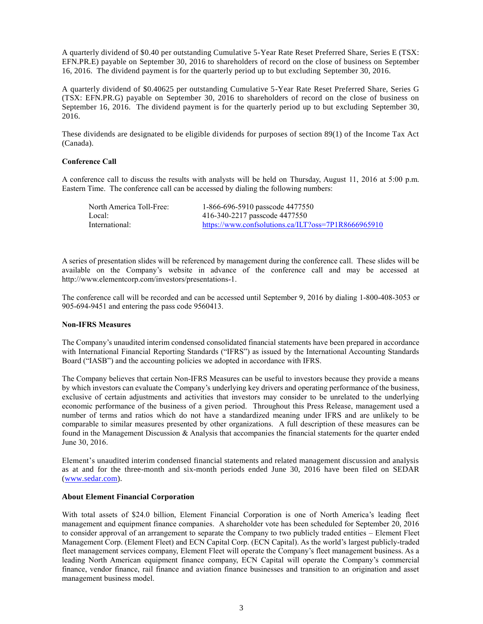A quarterly dividend of \$0.40 per outstanding Cumulative 5-Year Rate Reset Preferred Share, Series E (TSX: EFN.PR.E) payable on September 30, 2016 to shareholders of record on the close of business on September 16, 2016. The dividend payment is for the quarterly period up to but excluding September 30, 2016.

A quarterly dividend of \$0.40625 per outstanding Cumulative 5-Year Rate Reset Preferred Share, Series G (TSX: EFN.PR.G) payable on September 30, 2016 to shareholders of record on the close of business on September 16, 2016. The dividend payment is for the quarterly period up to but excluding September 30, 2016.

These dividends are designated to be eligible dividends for purposes of section 89(1) of the Income Tax Act (Canada).

### **Conference Call**

A conference call to discuss the results with analysts will be held on Thursday, August 11, 2016 at 5:00 p.m. Eastern Time. The conference call can be accessed by dialing the following numbers:

| North America Toll-Free: | 1-866-696-5910 passcode 4477550                     |
|--------------------------|-----------------------------------------------------|
| Local:                   | 416-340-2217 passcode 4477550                       |
| International:           | https://www.confsolutions.ca/ILT?oss=7P1R8666965910 |

A series of presentation slides will be referenced by management during the conference call. These slides will be available on the Company's website in advance of the conference call and may be accessed at [http://www.elementcorp.com/investors/presentations-1.](http://www.elementcorp.com/investors/presentations-1)

The conference call will be recorded and can be accessed until September 9, 2016 by dialing 1-800-408-3053 or 905-694-9451 and entering the pass code 9560413.

#### **Non-IFRS Measures**

The Company's unaudited interim condensed consolidated financial statements have been prepared in accordance with International Financial Reporting Standards ("IFRS") as issued by the International Accounting Standards Board ("IASB") and the accounting policies we adopted in accordance with IFRS.

The Company believes that certain Non-IFRS Measures can be useful to investors because they provide a means by which investors can evaluate the Company's underlying key drivers and operating performance of the business, exclusive of certain adjustments and activities that investors may consider to be unrelated to the underlying economic performance of the business of a given period. Throughout this Press Release, management used a number of terms and ratios which do not have a standardized meaning under IFRS and are unlikely to be comparable to similar measures presented by other organizations. A full description of these measures can be found in the Management Discussion & Analysis that accompanies the financial statements for the quarter ended June 30, 2016.

Element's unaudited interim condensed financial statements and related management discussion and analysis as at and for the three-month and six-month periods ended June 30, 2016 have been filed on SEDAR [\(www.sedar.com\)](http://www.sedar.com/).

#### **About Element Financial Corporation**

With total assets of \$24.0 billion, Element Financial Corporation is one of North America's leading fleet management and equipment finance companies. A shareholder vote has been scheduled for September 20, 2016 to consider approval of an arrangement to separate the Company to two publicly traded entities – Element Fleet Management Corp. (Element Fleet) and ECN Capital Corp. (ECN Capital). As the world's largest publicly-traded fleet management services company, Element Fleet will operate the Company's fleet management business. As a leading North American equipment finance company, ECN Capital will operate the Company's commercial finance, vendor finance, rail finance and aviation finance businesses and transition to an origination and asset management business model.